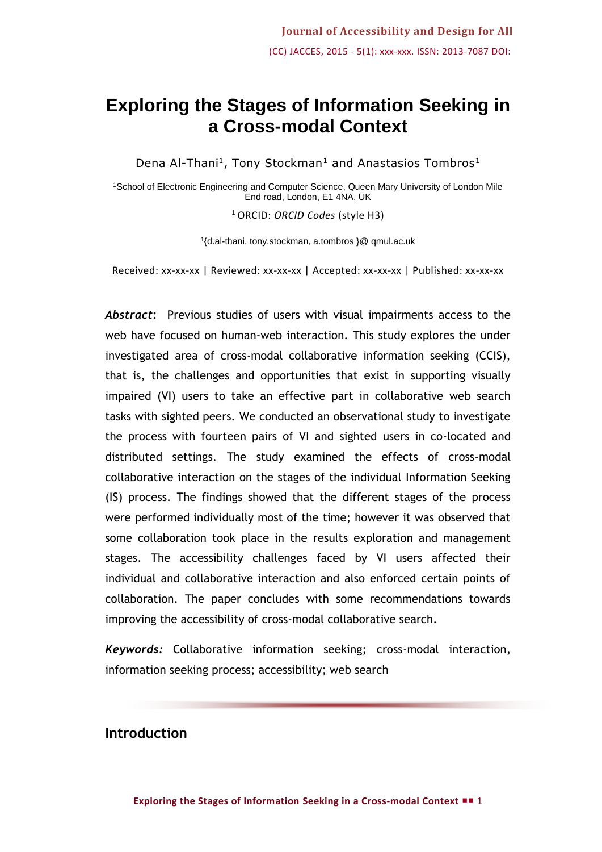# **Exploring the Stages of Information Seeking in a Cross-modal Context**

Dena Al-Thani<sup>1</sup>, Tony Stockman<sup>1</sup> and Anastasios Tombros<sup>1</sup>

<sup>1</sup>School of Electronic Engineering and Computer Science, Queen Mary University of London Mile End road, London, E1 4NA, UK

<sup>1</sup> ORCID: *ORCID Codes* (style H3)

1 {d.al-thani, tony.stockman, a.tombros }@ qmul.ac.uk

Received: xx-xx-xx | Reviewed: xx-xx-xx | Accepted: xx-xx-xx | Published: xx-xx-xx

*Abstract***:** Previous studies of users with visual impairments access to the web have focused on human-web interaction. This study explores the under investigated area of cross-modal collaborative information seeking (CCIS), that is, the challenges and opportunities that exist in supporting visually impaired (VI) users to take an effective part in collaborative web search tasks with sighted peers. We conducted an observational study to investigate the process with fourteen pairs of VI and sighted users in co-located and distributed settings. The study examined the effects of cross-modal collaborative interaction on the stages of the individual Information Seeking (IS) process. The findings showed that the different stages of the process were performed individually most of the time; however it was observed that some collaboration took place in the results exploration and management stages. The accessibility challenges faced by VI users affected their individual and collaborative interaction and also enforced certain points of collaboration. The paper concludes with some recommendations towards improving the accessibility of cross-modal collaborative search.

*Keywords:* Collaborative information seeking; cross-modal interaction, information seeking process; accessibility; web search

## **Introduction**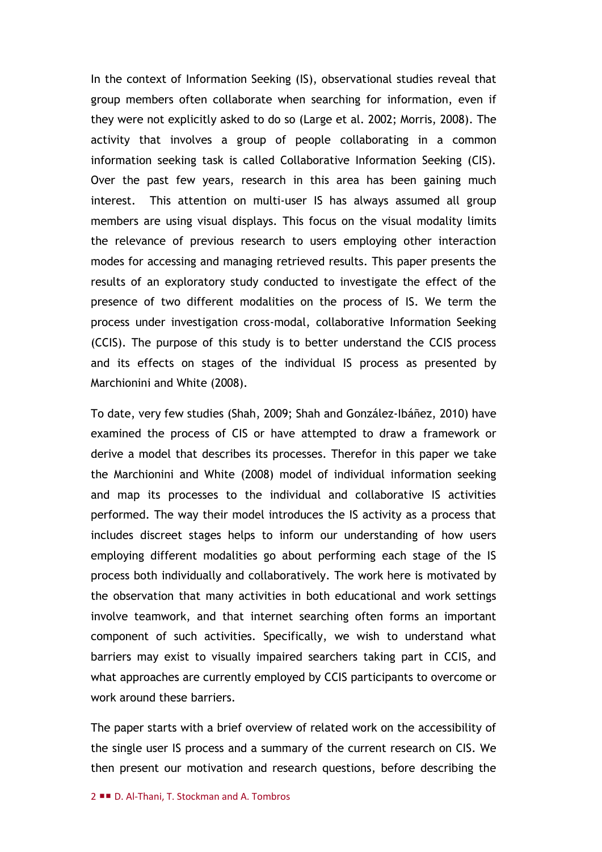In the context of Information Seeking (IS), observational studies reveal that group members often collaborate when searching for information, even if they were not explicitly asked to do so (Large et al. 2002; Morris, 2008). The activity that involves a group of people collaborating in a common information seeking task is called Collaborative Information Seeking (CIS). Over the past few years, research in this area has been gaining much interest. This attention on multi-user IS has always assumed all group members are using visual displays. This focus on the visual modality limits the relevance of previous research to users employing other interaction modes for accessing and managing retrieved results. This paper presents the results of an exploratory study conducted to investigate the effect of the presence of two different modalities on the process of IS. We term the process under investigation cross-modal, collaborative Information Seeking (CCIS). The purpose of this study is to better understand the CCIS process and its effects on stages of the individual IS process as presented by Marchionini and White (2008).

To date, very few studies (Shah, 2009; Shah and González-Ibáñez, 2010) have examined the process of CIS or have attempted to draw a framework or derive a model that describes its processes. Therefor in this paper we take the Marchionini and White (2008) model of individual information seeking and map its processes to the individual and collaborative IS activities performed. The way their model introduces the IS activity as a process that includes discreet stages helps to inform our understanding of how users employing different modalities go about performing each stage of the IS process both individually and collaboratively. The work here is motivated by the observation that many activities in both educational and work settings involve teamwork, and that internet searching often forms an important component of such activities. Specifically, we wish to understand what barriers may exist to visually impaired searchers taking part in CCIS, and what approaches are currently employed by CCIS participants to overcome or work around these barriers.

The paper starts with a brief overview of related work on the accessibility of the single user IS process and a summary of the current research on CIS. We then present our motivation and research questions, before describing the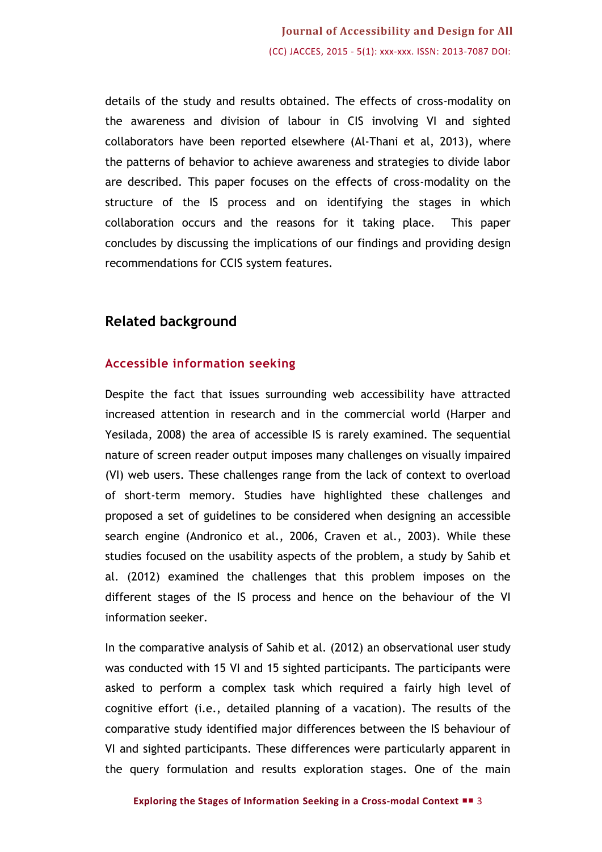details of the study and results obtained. The effects of cross-modality on the awareness and division of labour in CIS involving VI and sighted collaborators have been reported elsewhere (Al-Thani et al, 2013), where the patterns of behavior to achieve awareness and strategies to divide labor are described. This paper focuses on the effects of cross-modality on the structure of the IS process and on identifying the stages in which collaboration occurs and the reasons for it taking place. This paper concludes by discussing the implications of our findings and providing design recommendations for CCIS system features.

## **Related background**

## **Accessible information seeking**

Despite the fact that issues surrounding web accessibility have attracted increased attention in research and in the commercial world (Harper and Yesilada, 2008) the area of accessible IS is rarely examined. The sequential nature of screen reader output imposes many challenges on visually impaired (VI) web users. These challenges range from the lack of context to overload of short-term memory. Studies have highlighted these challenges and proposed a set of guidelines to be considered when designing an accessible search engine (Andronico et al., 2006, Craven et al., 2003). While these studies focused on the usability aspects of the problem, a study by Sahib et al. (2012) examined the challenges that this problem imposes on the different stages of the IS process and hence on the behaviour of the VI information seeker.

In the comparative analysis of Sahib et al. (2012) an observational user study was conducted with 15 VI and 15 sighted participants. The participants were asked to perform a complex task which required a fairly high level of cognitive effort (i.e., detailed planning of a vacation). The results of the comparative study identified major differences between the IS behaviour of VI and sighted participants. These differences were particularly apparent in the query formulation and results exploration stages. One of the main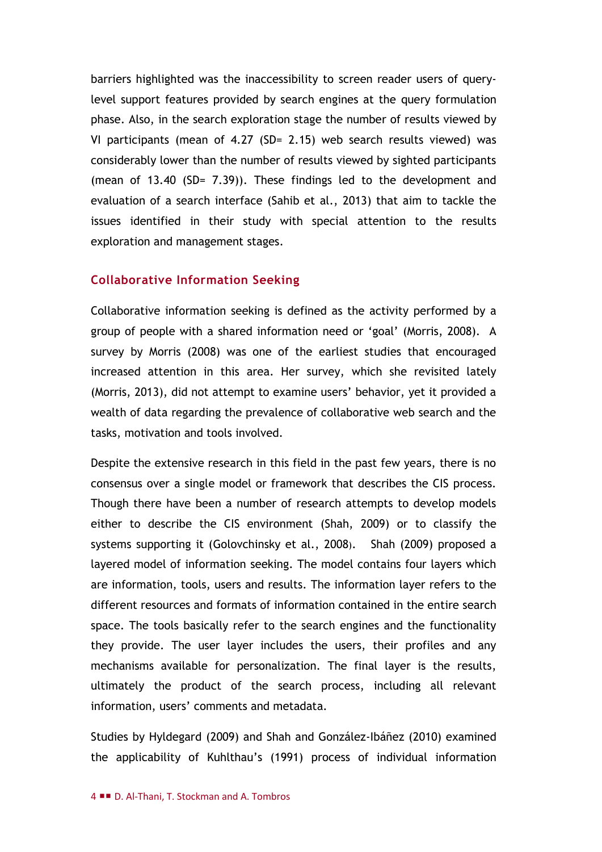barriers highlighted was the inaccessibility to screen reader users of querylevel support features provided by search engines at the query formulation phase. Also, in the search exploration stage the number of results viewed by VI participants (mean of 4.27 (SD= 2.15) web search results viewed) was considerably lower than the number of results viewed by sighted participants (mean of 13.40 (SD= 7.39)). These findings led to the development and evaluation of a search interface (Sahib et al., 2013) that aim to tackle the issues identified in their study with special attention to the results exploration and management stages.

#### **Collaborative Information Seeking**

Collaborative information seeking is defined as the activity performed by a group of people with a shared information need or 'goal' (Morris, 2008). A survey by Morris (2008) was one of the earliest studies that encouraged increased attention in this area. Her survey, which she revisited lately (Morris, 2013), did not attempt to examine users' behavior, yet it provided a wealth of data regarding the prevalence of collaborative web search and the tasks, motivation and tools involved.

Despite the extensive research in this field in the past few years, there is no consensus over a single model or framework that describes the CIS process. Though there have been a number of research attempts to develop models either to describe the CIS environment (Shah, 2009) or to classify the systems supporting it (Golovchinsky et al., 2008). Shah (2009) proposed a layered model of information seeking. The model contains four layers which are information, tools, users and results. The information layer refers to the different resources and formats of information contained in the entire search space. The tools basically refer to the search engines and the functionality they provide. The user layer includes the users, their profiles and any mechanisms available for personalization. The final layer is the results, ultimately the product of the search process, including all relevant information, users' comments and metadata.

Studies by Hyldegard (2009) and Shah and González-Ibáñez (2010) examined the applicability of Kuhlthau's (1991) process of individual information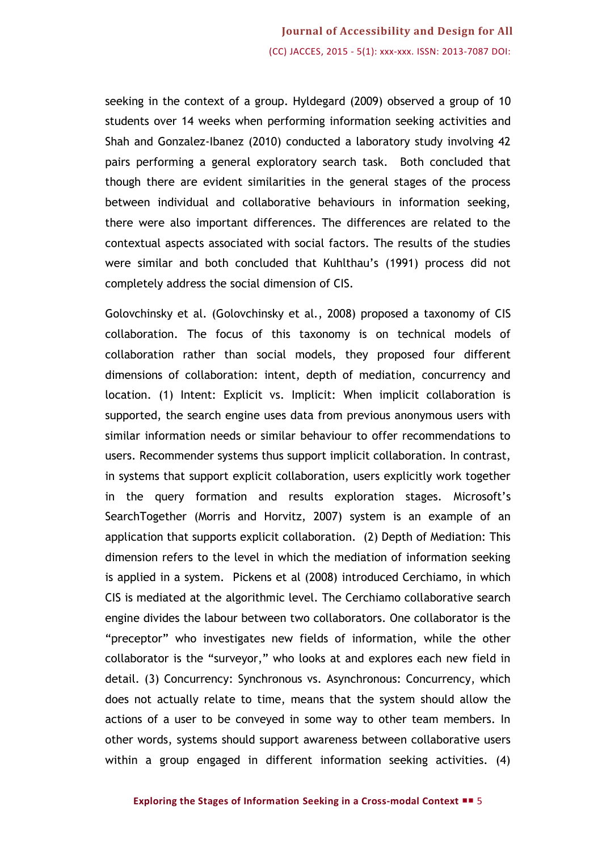seeking in the context of a group. Hyldegard (2009) observed a group of 10 students over 14 weeks when performing information seeking activities and Shah and Gonzalez-Ibanez (2010) conducted a laboratory study involving 42 pairs performing a general exploratory search task. Both concluded that though there are evident similarities in the general stages of the process between individual and collaborative behaviours in information seeking, there were also important differences. The differences are related to the contextual aspects associated with social factors. The results of the studies were similar and both concluded that Kuhlthau's (1991) process did not completely address the social dimension of CIS.

Golovchinsky et al. (Golovchinsky et al., 2008) proposed a taxonomy of CIS collaboration. The focus of this taxonomy is on technical models of collaboration rather than social models, they proposed four different dimensions of collaboration: intent, depth of mediation, concurrency and location. (1) Intent: Explicit vs. Implicit: When implicit collaboration is supported, the search engine uses data from previous anonymous users with similar information needs or similar behaviour to offer recommendations to users. Recommender systems thus support implicit collaboration. In contrast, in systems that support explicit collaboration, users explicitly work together in the query formation and results exploration stages. Microsoft's SearchTogether (Morris and Horvitz, 2007) system is an example of an application that supports explicit collaboration. (2) Depth of Mediation: This dimension refers to the level in which the mediation of information seeking is applied in a system. Pickens et al (2008) introduced Cerchiamo, in which CIS is mediated at the algorithmic level. The Cerchiamo collaborative search engine divides the labour between two collaborators. One collaborator is the "preceptor" who investigates new fields of information, while the other collaborator is the "surveyor," who looks at and explores each new field in detail. (3) Concurrency: Synchronous vs. Asynchronous: Concurrency, which does not actually relate to time, means that the system should allow the actions of a user to be conveyed in some way to other team members. In other words, systems should support awareness between collaborative users within a group engaged in different information seeking activities. (4)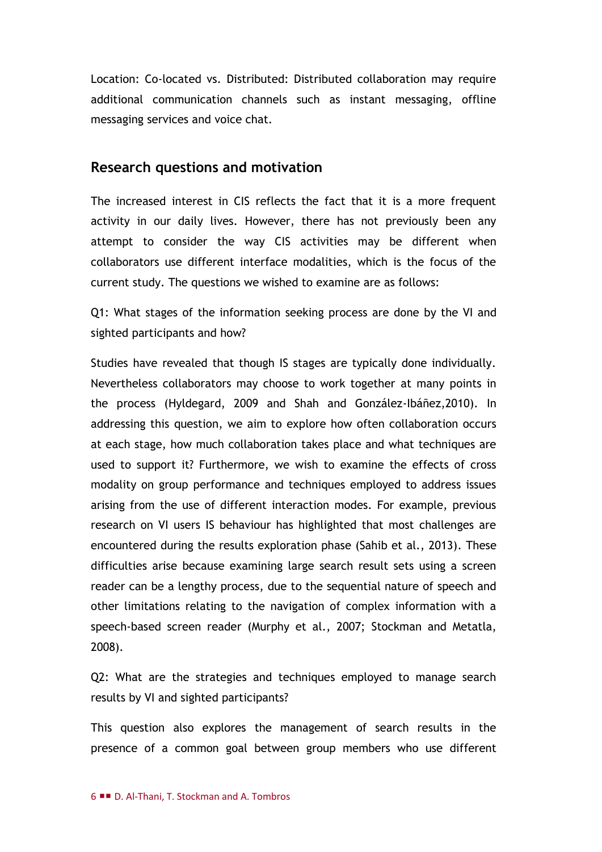Location: Co-located vs. Distributed: Distributed collaboration may require additional communication channels such as instant messaging, offline messaging services and voice chat.

## **Research questions and motivation**

The increased interest in CIS reflects the fact that it is a more frequent activity in our daily lives. However, there has not previously been any attempt to consider the way CIS activities may be different when collaborators use different interface modalities, which is the focus of the current study. The questions we wished to examine are as follows:

Q1: What stages of the information seeking process are done by the VI and sighted participants and how?

Studies have revealed that though IS stages are typically done individually. Nevertheless collaborators may choose to work together at many points in the process (Hyldegard, 2009 and Shah and González-Ibáñez,2010). In addressing this question, we aim to explore how often collaboration occurs at each stage, how much collaboration takes place and what techniques are used to support it? Furthermore, we wish to examine the effects of cross modality on group performance and techniques employed to address issues arising from the use of different interaction modes. For example, previous research on VI users IS behaviour has highlighted that most challenges are encountered during the results exploration phase (Sahib et al., 2013). These difficulties arise because examining large search result sets using a screen reader can be a lengthy process, due to the sequential nature of speech and other limitations relating to the navigation of complex information with a speech-based screen reader (Murphy et al., 2007; Stockman and Metatla, 2008).

Q2: What are the strategies and techniques employed to manage search results by VI and sighted participants?

This question also explores the management of search results in the presence of a common goal between group members who use different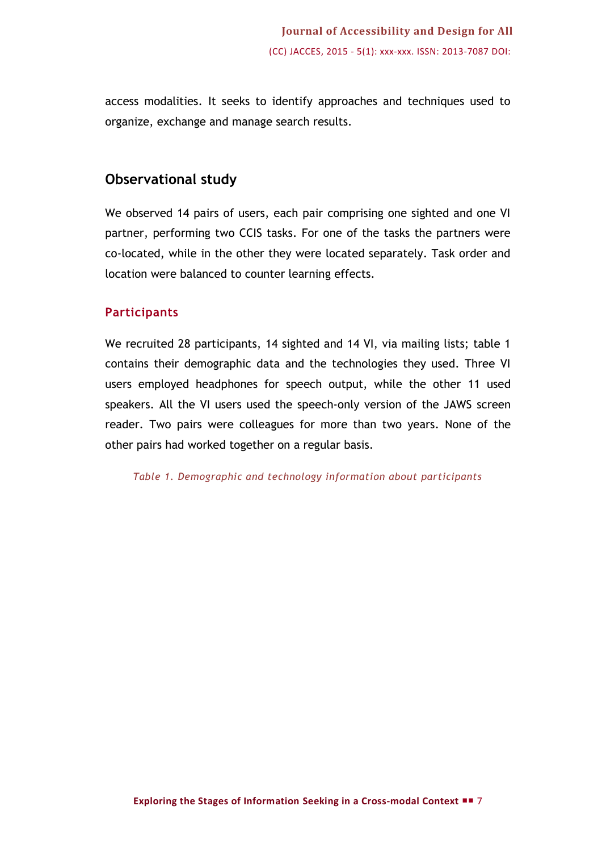access modalities. It seeks to identify approaches and techniques used to organize, exchange and manage search results.

## **Observational study**

We observed 14 pairs of users, each pair comprising one sighted and one VI partner, performing two CCIS tasks. For one of the tasks the partners were co-located, while in the other they were located separately. Task order and location were balanced to counter learning effects.

## **Participants**

We recruited 28 participants, 14 sighted and 14 VI, via mailing lists; table 1 contains their demographic data and the technologies they used. Three VI users employed headphones for speech output, while the other 11 used speakers. All the VI users used the speech-only version of the JAWS screen reader. Two pairs were colleagues for more than two years. None of the other pairs had worked together on a regular basis.

*Table 1. Demographic and technology information about participants*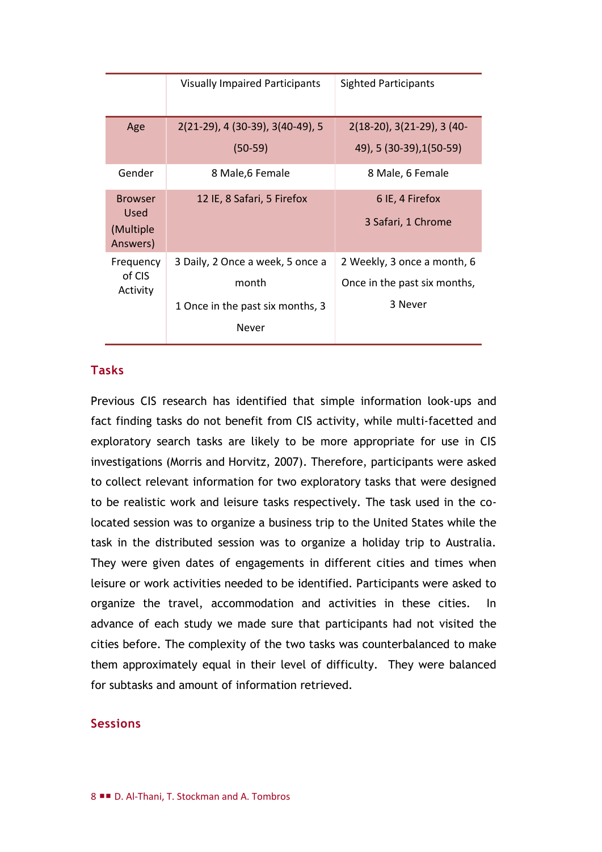|                                                 | <b>Visually Impaired Participants</b>                                                  | <b>Sighted Participants</b>                                            |
|-------------------------------------------------|----------------------------------------------------------------------------------------|------------------------------------------------------------------------|
| Age                                             | 2(21-29), 4 (30-39), 3(40-49), 5<br>$(50-59)$                                          | $2(18-20)$ , $3(21-29)$ , $3(40-$<br>49), 5 (30-39), 1(50-59)          |
| Gender                                          | 8 Male, 6 Female                                                                       | 8 Male, 6 Female                                                       |
| <b>Browser</b><br>Used<br>(Multiple<br>Answers) | 12 IE, 8 Safari, 5 Firefox                                                             | 6 IE, 4 Firefox<br>3 Safari, 1 Chrome                                  |
| Frequency<br>of CIS<br>Activity                 | 3 Daily, 2 Once a week, 5 once a<br>month<br>1 Once in the past six months, 3<br>Never | 2 Weekly, 3 once a month, 6<br>Once in the past six months,<br>3 Never |

### **Tasks**

Previous CIS research has identified that simple information look-ups and fact finding tasks do not benefit from CIS activity, while multi-facetted and exploratory search tasks are likely to be more appropriate for use in CIS investigations (Morris and Horvitz, 2007). Therefore, participants were asked to collect relevant information for two exploratory tasks that were designed to be realistic work and leisure tasks respectively. The task used in the colocated session was to organize a business trip to the United States while the task in the distributed session was to organize a holiday trip to Australia. They were given dates of engagements in different cities and times when leisure or work activities needed to be identified. Participants were asked to organize the travel, accommodation and activities in these cities. In advance of each study we made sure that participants had not visited the cities before. The complexity of the two tasks was counterbalanced to make them approximately equal in their level of difficulty. They were balanced for subtasks and amount of information retrieved.

#### **Sessions**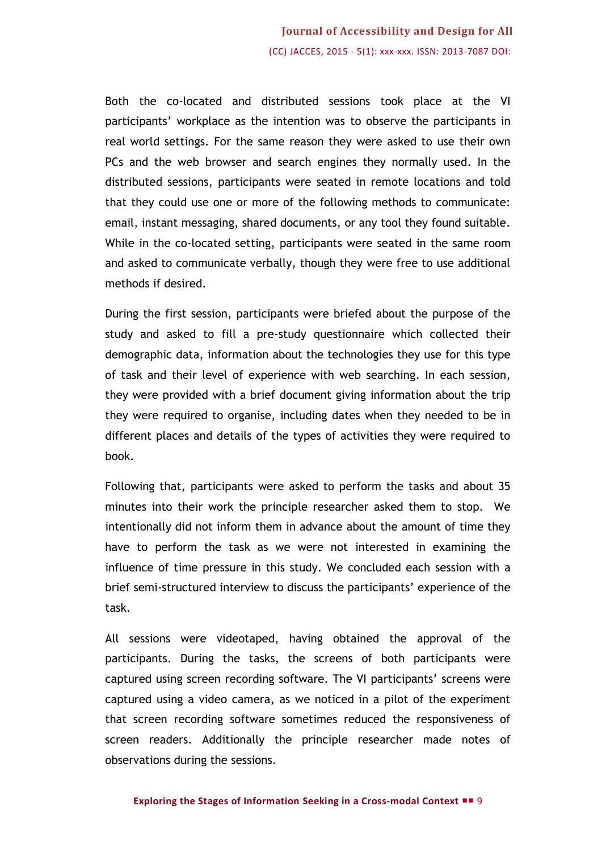Both the co-located and distributed sessions took place at the VI participants' workplace as the intention was to observe the participants in real world settings. For the same reason they were asked to use their own PCs and the web browser and search engines they normally used. In the distributed sessions, participants were seated in remote locations and told that they could use one or more of the following methods to communicate: email, instant messaging, shared documents, or any tool they found suitable. While in the co-located setting, participants were seated in the same room and asked to communicate verbally, though they were free to use additional methods if desired.

During the first session, participants were briefed about the purpose of the study and asked to fill a pre-study questionnaire which collected their demographic data, information about the technologies they use for this type of task and their level of experience with web searching. In each session, they were provided with a brief document giving information about the trip they were required to organise, including dates when they needed to be in different places and details of the types of activities they were required to book.

Following that, participants were asked to perform the tasks and about 35 minutes into their work the principle researcher asked them to stop. We intentionally did not inform them in advance about the amount of time they have to perform the task as we were not interested in examining the influence of time pressure in this study. We concluded each session with a brief semi-structured interview to discuss the participants' experience of the task.

All sessions were videotaped, having obtained the approval of the participants. During the tasks, the screens of both participants were captured using screen recording software. The VI participants' screens were captured using a video camera, as we noticed in a pilot of the experiment that screen recording software sometimes reduced the responsiveness of screen readers. Additionally the principle researcher made notes of observations during the sessions.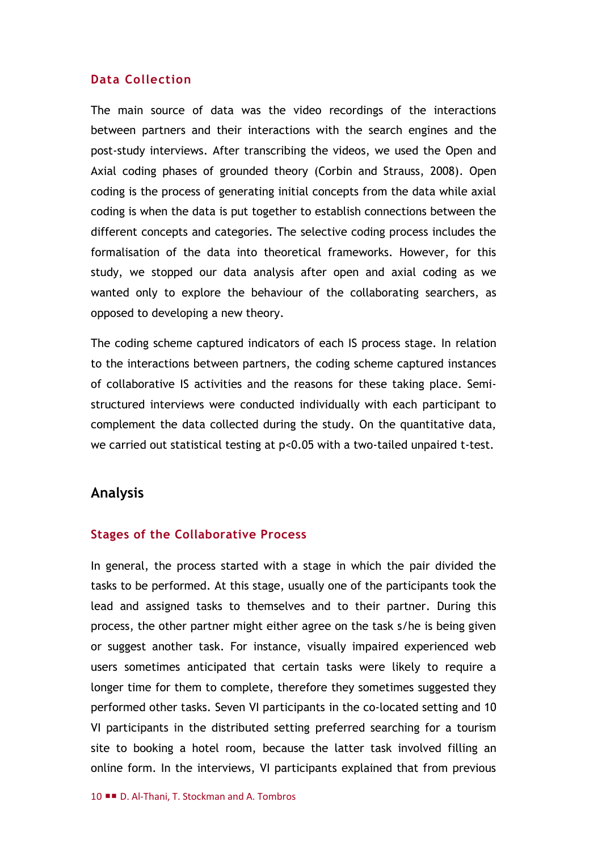#### **Data Collection**

The main source of data was the video recordings of the interactions between partners and their interactions with the search engines and the post-study interviews. After transcribing the videos, we used the Open and Axial coding phases of grounded theory (Corbin and Strauss, 2008). Open coding is the process of generating initial concepts from the data while axial coding is when the data is put together to establish connections between the different concepts and categories. The selective coding process includes the formalisation of the data into theoretical frameworks. However, for this study, we stopped our data analysis after open and axial coding as we wanted only to explore the behaviour of the collaborating searchers, as opposed to developing a new theory.

The coding scheme captured indicators of each IS process stage. In relation to the interactions between partners, the coding scheme captured instances of collaborative IS activities and the reasons for these taking place. Semistructured interviews were conducted individually with each participant to complement the data collected during the study. On the quantitative data, we carried out statistical testing at p<0.05 with a two-tailed unpaired t-test.

## **Analysis**

#### **Stages of the Collaborative Process**

In general, the process started with a stage in which the pair divided the tasks to be performed. At this stage, usually one of the participants took the lead and assigned tasks to themselves and to their partner. During this process, the other partner might either agree on the task s/he is being given or suggest another task. For instance, visually impaired experienced web users sometimes anticipated that certain tasks were likely to require a longer time for them to complete, therefore they sometimes suggested they performed other tasks. Seven VI participants in the co-located setting and 10 VI participants in the distributed setting preferred searching for a tourism site to booking a hotel room, because the latter task involved filling an online form. In the interviews, VI participants explained that from previous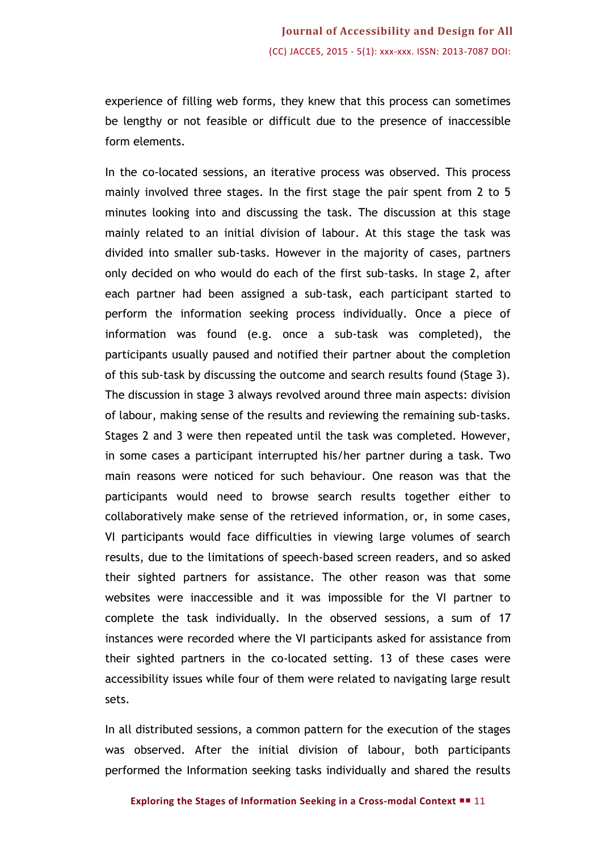experience of filling web forms, they knew that this process can sometimes be lengthy or not feasible or difficult due to the presence of inaccessible form elements.

In the co-located sessions, an iterative process was observed. This process mainly involved three stages. In the first stage the pair spent from 2 to 5 minutes looking into and discussing the task. The discussion at this stage mainly related to an initial division of labour. At this stage the task was divided into smaller sub-tasks. However in the majority of cases, partners only decided on who would do each of the first sub-tasks. In stage 2, after each partner had been assigned a sub-task, each participant started to perform the information seeking process individually. Once a piece of information was found (e.g. once a sub-task was completed), the participants usually paused and notified their partner about the completion of this sub-task by discussing the outcome and search results found (Stage 3). The discussion in stage 3 always revolved around three main aspects: division of labour, making sense of the results and reviewing the remaining sub-tasks. Stages 2 and 3 were then repeated until the task was completed. However, in some cases a participant interrupted his/her partner during a task. Two main reasons were noticed for such behaviour. One reason was that the participants would need to browse search results together either to collaboratively make sense of the retrieved information, or, in some cases, VI participants would face difficulties in viewing large volumes of search results, due to the limitations of speech-based screen readers, and so asked their sighted partners for assistance. The other reason was that some websites were inaccessible and it was impossible for the VI partner to complete the task individually. In the observed sessions, a sum of 17 instances were recorded where the VI participants asked for assistance from their sighted partners in the co-located setting. 13 of these cases were accessibility issues while four of them were related to navigating large result sets.

In all distributed sessions, a common pattern for the execution of the stages was observed. After the initial division of labour, both participants performed the Information seeking tasks individually and shared the results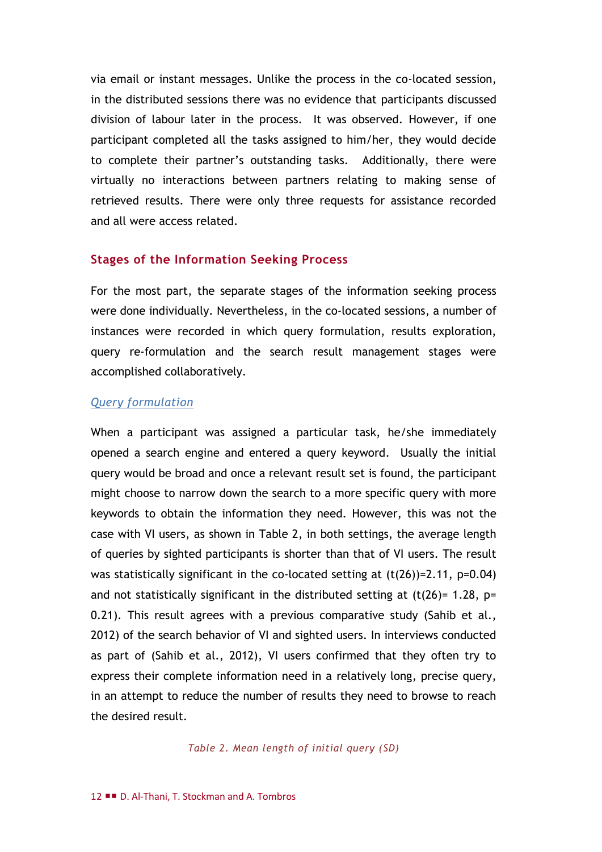via email or instant messages. Unlike the process in the co-located session, in the distributed sessions there was no evidence that participants discussed division of labour later in the process. It was observed. However, if one participant completed all the tasks assigned to him/her, they would decide to complete their partner's outstanding tasks. Additionally, there were virtually no interactions between partners relating to making sense of retrieved results. There were only three requests for assistance recorded and all were access related.

### **Stages of the Information Seeking Process**

For the most part, the separate stages of the information seeking process were done individually. Nevertheless, in the co-located sessions, a number of instances were recorded in which query formulation, results exploration, query re-formulation and the search result management stages were accomplished collaboratively.

#### *Query formulation*

When a participant was assigned a particular task, he/she immediately opened a search engine and entered a query keyword. Usually the initial query would be broad and once a relevant result set is found, the participant might choose to narrow down the search to a more specific query with more keywords to obtain the information they need. However, this was not the case with VI users, as shown in Table 2, in both settings, the average length of queries by sighted participants is shorter than that of VI users. The result was statistically significant in the co-located setting at (t(26))=2.11, p=0.04) and not statistically significant in the distributed setting at  $(t(26)= 1.28, p=$ 0.21). This result agrees with a previous comparative study (Sahib et al., 2012) of the search behavior of VI and sighted users. In interviews conducted as part of (Sahib et al., 2012), VI users confirmed that they often try to express their complete information need in a relatively long, precise query, in an attempt to reduce the number of results they need to browse to reach the desired result.

*Table 2. Mean length of initial query (SD)*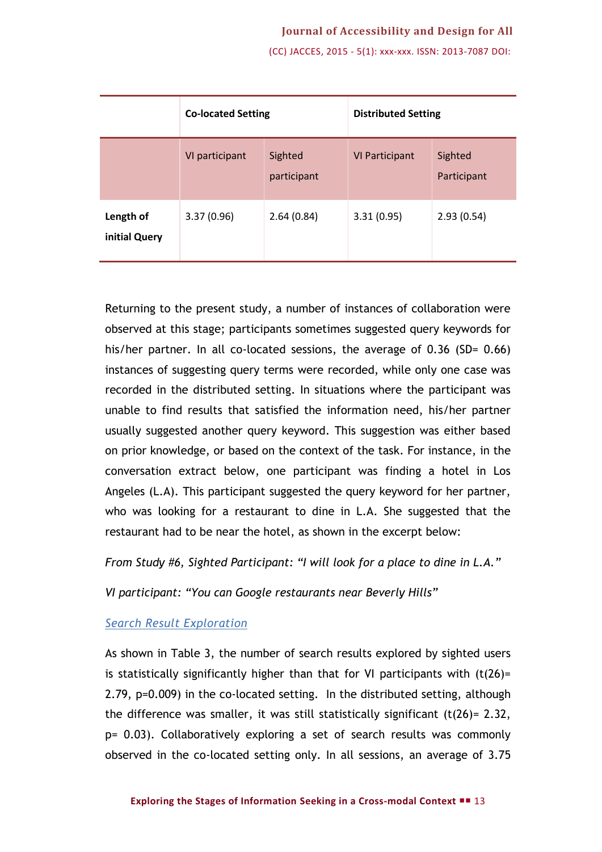(CC) JACCES, 2015 - 5(1): xxx-xxx. ISSN: 2013-7087 DOI:

|                            | <b>Co-located Setting</b> |                        | <b>Distributed Setting</b> |                        |
|----------------------------|---------------------------|------------------------|----------------------------|------------------------|
|                            | VI participant            | Sighted<br>participant | <b>VI Participant</b>      | Sighted<br>Participant |
| Length of<br>initial Query | 3.37(0.96)                | 2.64(0.84)             | 3.31(0.95)                 | 2.93(0.54)             |

Returning to the present study, a number of instances of collaboration were observed at this stage; participants sometimes suggested query keywords for his/her partner. In all co-located sessions, the average of 0.36 (SD= 0.66) instances of suggesting query terms were recorded, while only one case was recorded in the distributed setting. In situations where the participant was unable to find results that satisfied the information need, his/her partner usually suggested another query keyword. This suggestion was either based on prior knowledge, or based on the context of the task. For instance, in the conversation extract below, one participant was finding a hotel in Los Angeles (L.A). This participant suggested the query keyword for her partner, who was looking for a restaurant to dine in L.A. She suggested that the restaurant had to be near the hotel, as shown in the excerpt below:

*From Study #6, Sighted Participant: "I will look for a place to dine in L.A."*

*VI participant: "You can Google restaurants near Beverly Hills"*

#### *Search Result Exploration*

As shown in Table 3, the number of search results explored by sighted users is statistically significantly higher than that for VI participants with  $(t(26)$ = 2.79, p=0.009) in the co-located setting. In the distributed setting, although the difference was smaller, it was still statistically significant  $(t(26)= 2.32)$ , p= 0.03). Collaboratively exploring a set of search results was commonly observed in the co-located setting only. In all sessions, an average of 3.75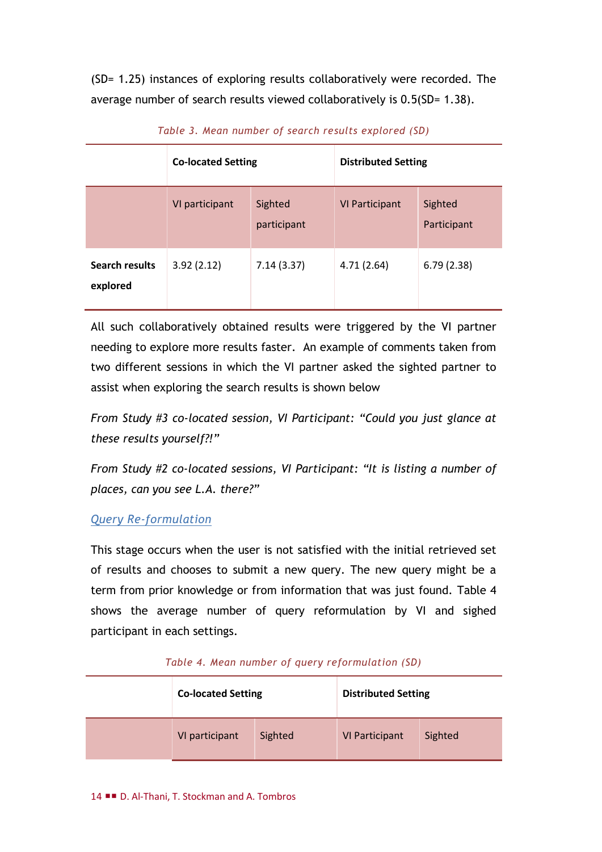(SD= 1.25) instances of exploring results collaboratively were recorded. The average number of search results viewed collaboratively is 0.5(SD= 1.38).

|                                   | <b>Co-located Setting</b> |                        | <b>Distributed Setting</b> |                        |
|-----------------------------------|---------------------------|------------------------|----------------------------|------------------------|
|                                   | VI participant            | Sighted<br>participant | <b>VI Participant</b>      | Sighted<br>Participant |
| <b>Search results</b><br>explored | 3.92(2.12)                | 7.14(3.37)             | 4.71(2.64)                 | 6.79(2.38)             |

*Table 3. Mean number of search results explored (SD)*

All such collaboratively obtained results were triggered by the VI partner needing to explore more results faster. An example of comments taken from two different sessions in which the VI partner asked the sighted partner to assist when exploring the search results is shown below

*From Study #3 co-located session, VI Participant: "Could you just glance at these results yourself?!"*

*From Study #2 co-located sessions, VI Participant: "It is listing a number of places, can you see L.A. there?"*

## *Query Re-formulation*

This stage occurs when the user is not satisfied with the initial retrieved set of results and chooses to submit a new query. The new query might be a term from prior knowledge or from information that was just found. Table 4 shows the average number of query reformulation by VI and sighed participant in each settings.

| <b>Co-located Setting</b> |         | <b>Distributed Setting</b> |         |
|---------------------------|---------|----------------------------|---------|
| VI participant            | Sighted | <b>VI Participant</b>      | Sighted |

#### *Table 4. Mean number of query reformulation (SD)*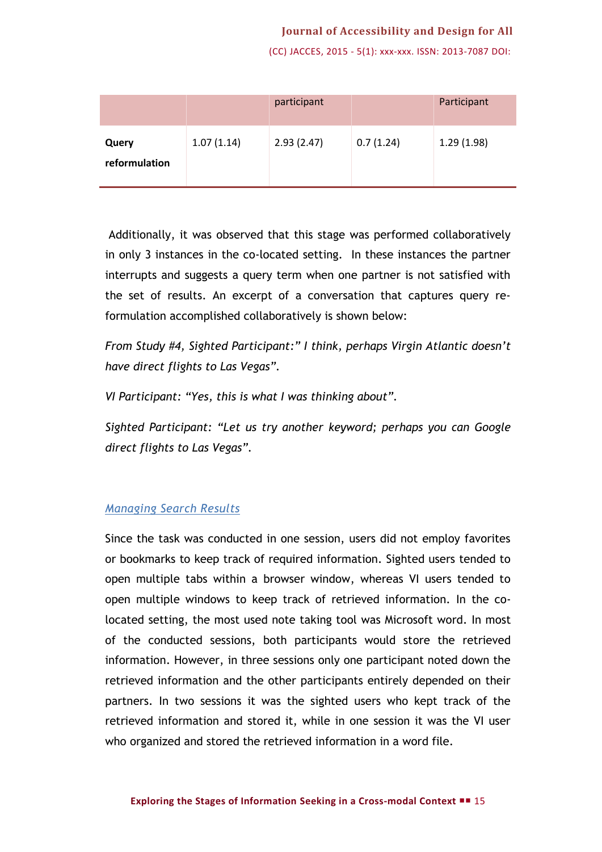#### **Journal of Accessibility and Design for All**

(CC) JACCES, 2015 - 5(1): xxx-xxx. ISSN: 2013-7087 DOI:

|                        |            | participant |           | Participant |
|------------------------|------------|-------------|-----------|-------------|
| Query<br>reformulation | 1.07(1.14) | 2.93(2.47)  | 0.7(1.24) | 1.29(1.98)  |

Additionally, it was observed that this stage was performed collaboratively in only 3 instances in the co-located setting. In these instances the partner interrupts and suggests a query term when one partner is not satisfied with the set of results. An excerpt of a conversation that captures query reformulation accomplished collaboratively is shown below:

*From Study #4, Sighted Participant:" I think, perhaps Virgin Atlantic doesn't have direct flights to Las Vegas".*

*VI Participant: "Yes, this is what I was thinking about".*

*Sighted Participant: "Let us try another keyword; perhaps you can Google direct flights to Las Vegas".*

#### *Managing Search Results*

Since the task was conducted in one session, users did not employ favorites or bookmarks to keep track of required information. Sighted users tended to open multiple tabs within a browser window, whereas VI users tended to open multiple windows to keep track of retrieved information. In the colocated setting, the most used note taking tool was Microsoft word. In most of the conducted sessions, both participants would store the retrieved information. However, in three sessions only one participant noted down the retrieved information and the other participants entirely depended on their partners. In two sessions it was the sighted users who kept track of the retrieved information and stored it, while in one session it was the VI user who organized and stored the retrieved information in a word file.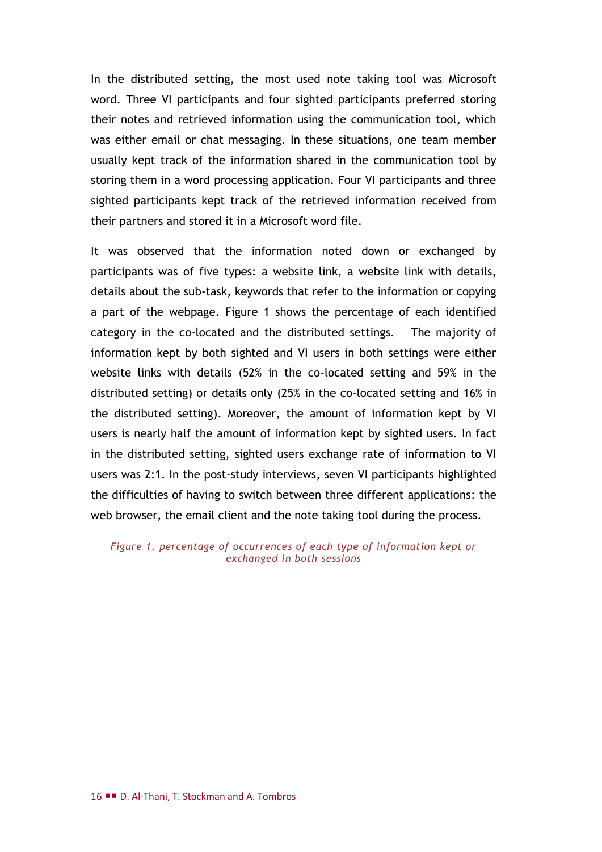In the distributed setting, the most used note taking tool was Microsoft word. Three VI participants and four sighted participants preferred storing their notes and retrieved information using the communication tool, which was either email or chat messaging. In these situations, one team member usually kept track of the information shared in the communication tool by storing them in a word processing application. Four VI participants and three sighted participants kept track of the retrieved information received from their partners and stored it in a Microsoft word file.

It was observed that the information noted down or exchanged by participants was of five types: a website link, a website link with details, details about the sub-task, keywords that refer to the information or copying a part of the webpage. Figure 1 shows the percentage of each identified category in the co-located and the distributed settings. The majority of information kept by both sighted and VI users in both settings were either website links with details (52% in the co-located setting and 59% in the distributed setting) or details only (25% in the co-located setting and 16% in the distributed setting). Moreover, the amount of information kept by VI users is nearly half the amount of information kept by sighted users. In fact in the distributed setting, sighted users exchange rate of information to VI users was 2:1. In the post-study interviews, seven VI participants highlighted the difficulties of having to switch between three different applications: the web browser, the email client and the note taking tool during the process.

*Figure 1. percentage of occurrences of each type of information kept or exchanged in both sessions*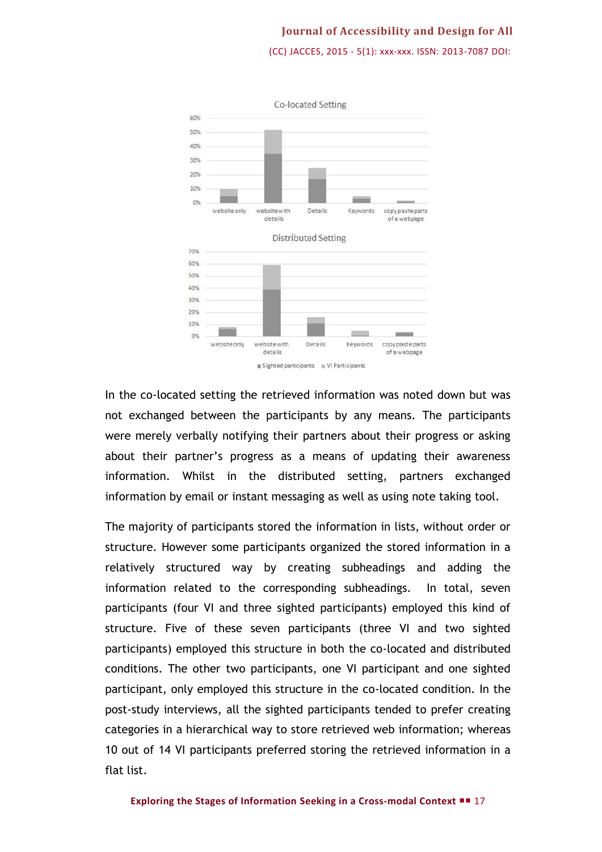## **Journal of Accessibility and Design for All** (CC) JACCES, 2015 - 5(1): xxx-xxx. ISSN: 2013-7087 DOI:



In the co-located setting the retrieved information was noted down but was not exchanged between the participants by any means. The participants were merely verbally notifying their partners about their progress or asking about their partner's progress as a means of updating their awareness information. Whilst in the distributed setting, partners exchanged information by email or instant messaging as well as using note taking tool.

The majority of participants stored the information in lists, without order or structure. However some participants organized the stored information in a relatively structured way by creating subheadings and adding the information related to the corresponding subheadings. In total, seven participants (four VI and three sighted participants) employed this kind of structure. Five of these seven participants (three VI and two sighted participants) employed this structure in both the co-located and distributed conditions. The other two participants, one VI participant and one sighted participant, only employed this structure in the co-located condition. In the post-study interviews, all the sighted participants tended to prefer creating categories in a hierarchical way to store retrieved web information; whereas 10 out of 14 VI participants preferred storing the retrieved information in a flat list.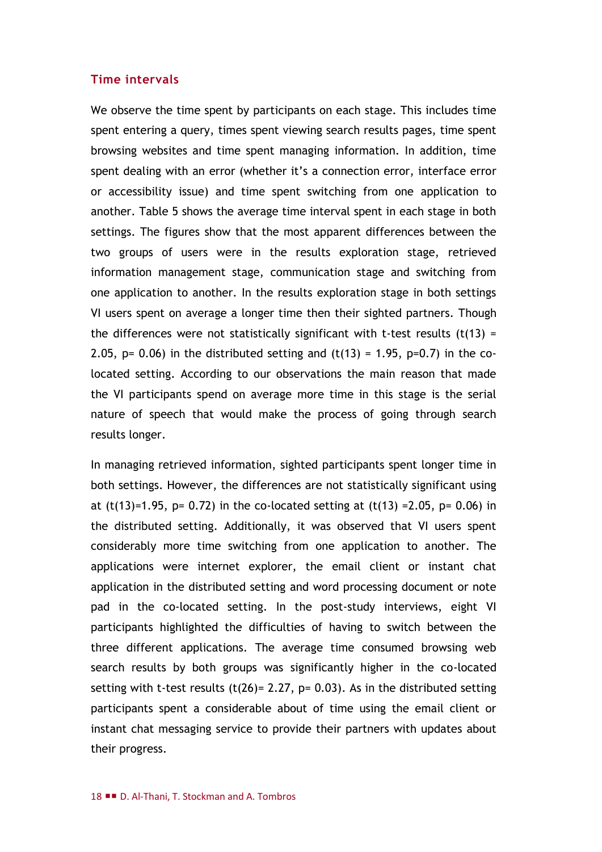#### **Time intervals**

We observe the time spent by participants on each stage. This includes time spent entering a query, times spent viewing search results pages, time spent browsing websites and time spent managing information. In addition, time spent dealing with an error (whether it's a connection error, interface error or accessibility issue) and time spent switching from one application to another. Table 5 shows the average time interval spent in each stage in both settings. The figures show that the most apparent differences between the two groups of users were in the results exploration stage, retrieved information management stage, communication stage and switching from one application to another. In the results exploration stage in both settings VI users spent on average a longer time then their sighted partners. Though the differences were not statistically significant with t-test results  $(t(13) =$ 2.05,  $p= 0.06$ ) in the distributed setting and (t(13) = 1.95,  $p=0.7$ ) in the colocated setting. According to our observations the main reason that made the VI participants spend on average more time in this stage is the serial nature of speech that would make the process of going through search results longer.

In managing retrieved information, sighted participants spent longer time in both settings. However, the differences are not statistically significant using at  $(t(13)=1.95, p= 0.72)$  in the co-located setting at  $(t(13) = 2.05, p= 0.06)$  in the distributed setting. Additionally, it was observed that VI users spent considerably more time switching from one application to another. The applications were internet explorer, the email client or instant chat application in the distributed setting and word processing document or note pad in the co-located setting. In the post-study interviews, eight VI participants highlighted the difficulties of having to switch between the three different applications. The average time consumed browsing web search results by both groups was significantly higher in the co-located setting with t-test results (t(26)= 2.27,  $p= 0.03$ ). As in the distributed setting participants spent a considerable about of time using the email client or instant chat messaging service to provide their partners with updates about their progress.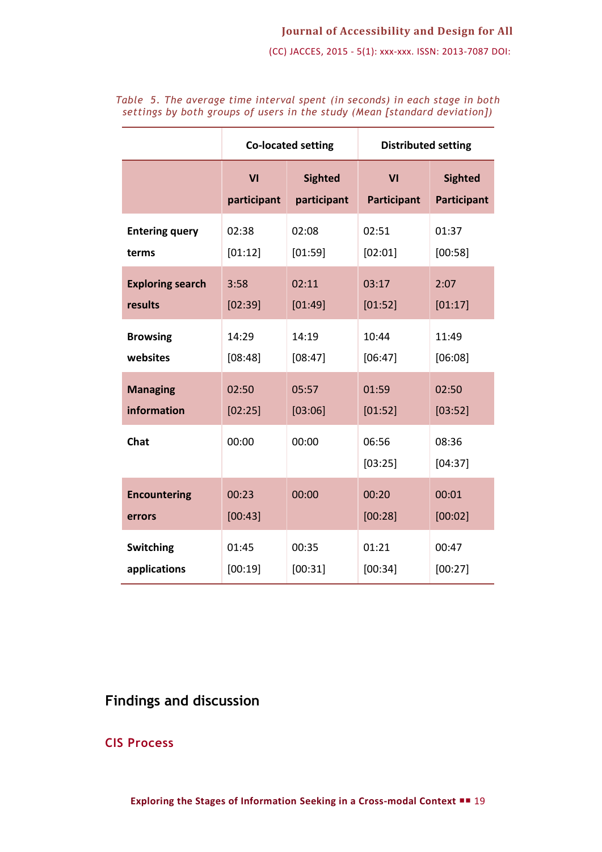### **Journal of Accessibility and Design for All**

(CC) JACCES, 2015 - 5(1): xxx-xxx. ISSN: 2013-7087 DOI:

|                         | <b>Co-located setting</b> |                | <b>Distributed setting</b> |                  |
|-------------------------|---------------------------|----------------|----------------------------|------------------|
|                         | VI                        | <b>Sighted</b> | VI                         | <b>Sighted</b>   |
|                         | participant               | participant    | <b>Participant</b>         | Participant      |
| <b>Entering query</b>   | 02:38                     | 02:08          | 02:51                      | 01:37            |
| terms                   | [01:12]                   | [01:59]        | [02:01]                    | [00:58]          |
| <b>Exploring search</b> | 3:58                      | 02:11          | 03:17                      | 2:07             |
| results                 | [02:39]                   | [01:49]        | [01:52]                    | [01:17]          |
| <b>Browsing</b>         | 14:29                     | 14:19          | 10:44                      | 11:49            |
| websites                | [08:48]                   | [08:47]        | [06:47]                    | [06:08]          |
| <b>Managing</b>         | 02:50                     | 05:57          | 01:59                      | 02:50            |
| information             | [02:25]                   | [03:06]        | [01:52]                    | [03:52]          |
| <b>Chat</b>             | 00:00                     | 00:00          | 06:56<br>[03:25]           | 08:36<br>[04:37] |
| <b>Encountering</b>     | 00:23                     | 00:00          | 00:20                      | 00:01            |
| errors                  | [00:43]                   |                | [00:28]                    | [00:02]          |
| <b>Switching</b>        | 01:45                     | 00:35          | 01:21                      | 00:47            |
| applications            | [00:19]                   | [00:31]        | [00:34]                    | [00:27]          |

*Table 5. The average time interval spent (in seconds) in each stage in both settings by both groups of users in the study (Mean [standard deviation])*

## **Findings and discussion**

**CIS Process**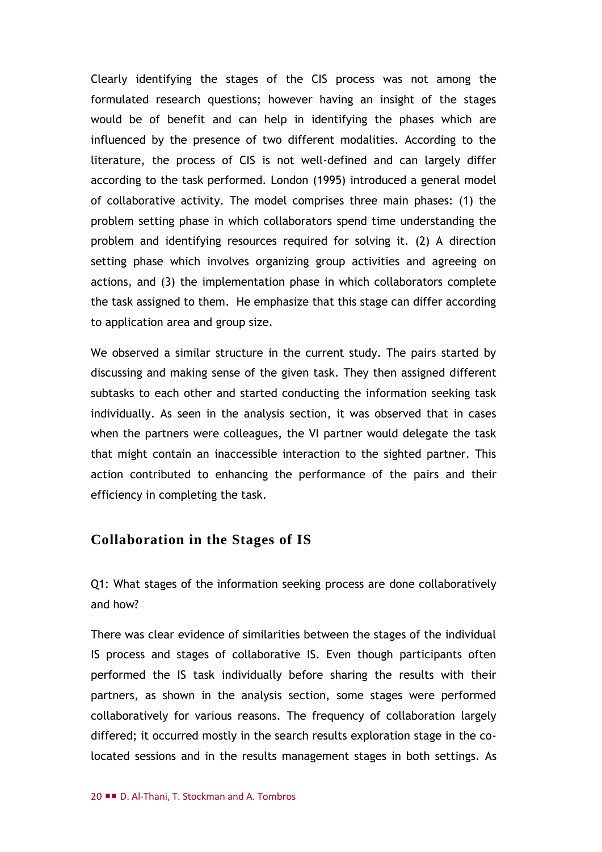Clearly identifying the stages of the CIS process was not among the formulated research questions; however having an insight of the stages would be of benefit and can help in identifying the phases which are influenced by the presence of two different modalities. According to the literature, the process of CIS is not well-defined and can largely differ according to the task performed. London (1995) introduced a general model of collaborative activity. The model comprises three main phases: (1) the problem setting phase in which collaborators spend time understanding the problem and identifying resources required for solving it. (2) A direction setting phase which involves organizing group activities and agreeing on actions, and (3) the implementation phase in which collaborators complete the task assigned to them. He emphasize that this stage can differ according to application area and group size.

We observed a similar structure in the current study. The pairs started by discussing and making sense of the given task. They then assigned different subtasks to each other and started conducting the information seeking task individually. As seen in the analysis section, it was observed that in cases when the partners were colleagues, the VI partner would delegate the task that might contain an inaccessible interaction to the sighted partner. This action contributed to enhancing the performance of the pairs and their efficiency in completing the task.

## **Collaboration in the Stages of IS**

Q1: What stages of the information seeking process are done collaboratively and how?

There was clear evidence of similarities between the stages of the individual IS process and stages of collaborative IS. Even though participants often performed the IS task individually before sharing the results with their partners, as shown in the analysis section, some stages were performed collaboratively for various reasons. The frequency of collaboration largely differed; it occurred mostly in the search results exploration stage in the colocated sessions and in the results management stages in both settings. As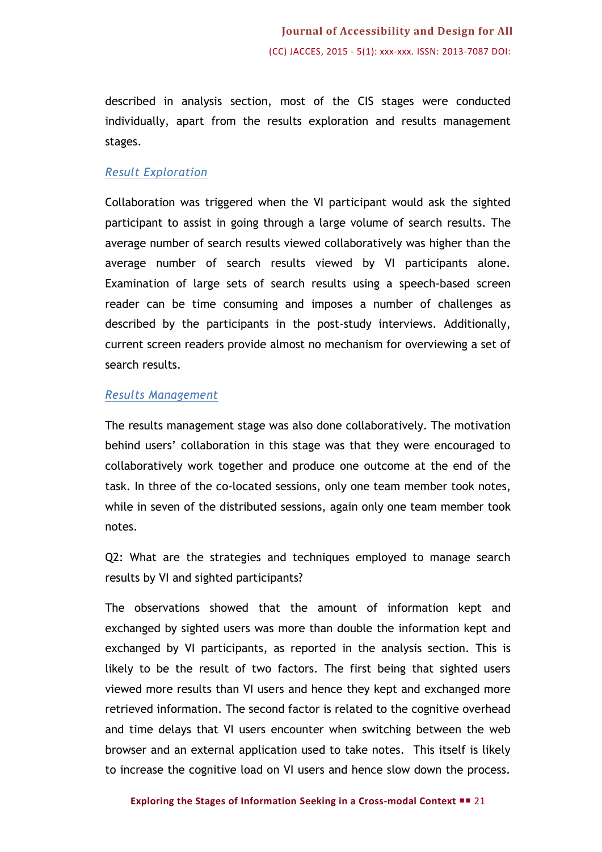described in analysis section, most of the CIS stages were conducted individually, apart from the results exploration and results management stages.

## *Result Exploration*

Collaboration was triggered when the VI participant would ask the sighted participant to assist in going through a large volume of search results. The average number of search results viewed collaboratively was higher than the average number of search results viewed by VI participants alone. Examination of large sets of search results using a speech-based screen reader can be time consuming and imposes a number of challenges as described by the participants in the post-study interviews. Additionally, current screen readers provide almost no mechanism for overviewing a set of search results.

## *Results Management*

The results management stage was also done collaboratively. The motivation behind users' collaboration in this stage was that they were encouraged to collaboratively work together and produce one outcome at the end of the task. In three of the co-located sessions, only one team member took notes, while in seven of the distributed sessions, again only one team member took notes.

Q2: What are the strategies and techniques employed to manage search results by VI and sighted participants?

The observations showed that the amount of information kept and exchanged by sighted users was more than double the information kept and exchanged by VI participants, as reported in the analysis section. This is likely to be the result of two factors. The first being that sighted users viewed more results than VI users and hence they kept and exchanged more retrieved information. The second factor is related to the cognitive overhead and time delays that VI users encounter when switching between the web browser and an external application used to take notes. This itself is likely to increase the cognitive load on VI users and hence slow down the process.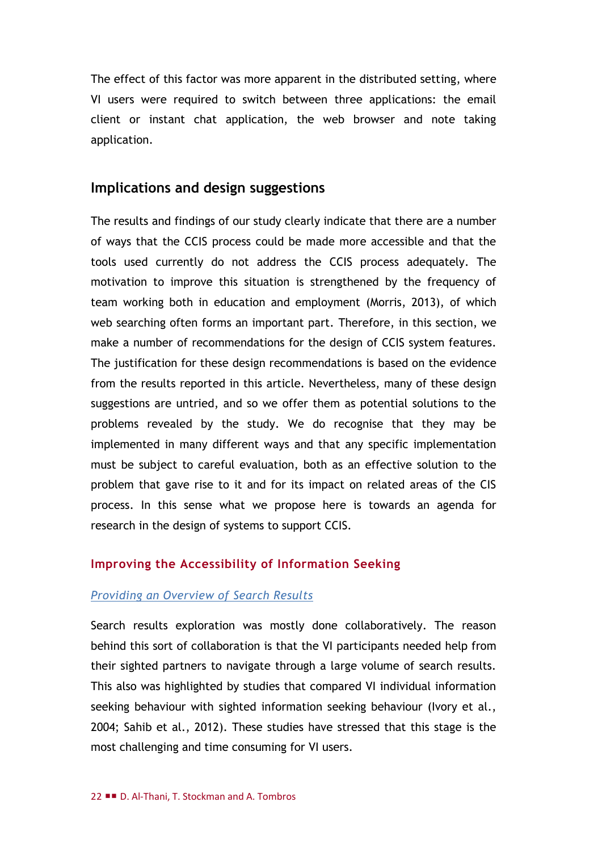The effect of this factor was more apparent in the distributed setting, where VI users were required to switch between three applications: the email client or instant chat application, the web browser and note taking application.

## **Implications and design suggestions**

The results and findings of our study clearly indicate that there are a number of ways that the CCIS process could be made more accessible and that the tools used currently do not address the CCIS process adequately. The motivation to improve this situation is strengthened by the frequency of team working both in education and employment (Morris, 2013), of which web searching often forms an important part. Therefore, in this section, we make a number of recommendations for the design of CCIS system features. The justification for these design recommendations is based on the evidence from the results reported in this article. Nevertheless, many of these design suggestions are untried, and so we offer them as potential solutions to the problems revealed by the study. We do recognise that they may be implemented in many different ways and that any specific implementation must be subject to careful evaluation, both as an effective solution to the problem that gave rise to it and for its impact on related areas of the CIS process. In this sense what we propose here is towards an agenda for research in the design of systems to support CCIS.

### **Improving the Accessibility of Information Seeking**

#### *Providing an Overview of Search Results*

Search results exploration was mostly done collaboratively. The reason behind this sort of collaboration is that the VI participants needed help from their sighted partners to navigate through a large volume of search results. This also was highlighted by studies that compared VI individual information seeking behaviour with sighted information seeking behaviour (Ivory et al., 2004; Sahib et al., 2012). These studies have stressed that this stage is the most challenging and time consuming for VI users.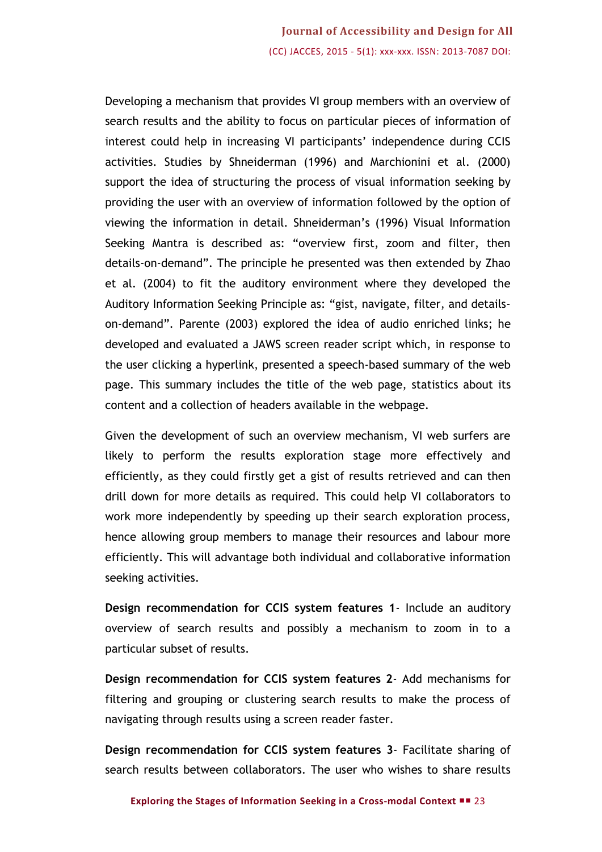Developing a mechanism that provides VI group members with an overview of search results and the ability to focus on particular pieces of information of interest could help in increasing VI participants' independence during CCIS activities. Studies by Shneiderman (1996) and Marchionini et al. (2000) support the idea of structuring the process of visual information seeking by providing the user with an overview of information followed by the option of viewing the information in detail. Shneiderman's (1996) Visual Information Seeking Mantra is described as: "overview first, zoom and filter, then details-on-demand". The principle he presented was then extended by Zhao et al. (2004) to fit the auditory environment where they developed the Auditory Information Seeking Principle as: "gist, navigate, filter, and detailson-demand". Parente (2003) explored the idea of audio enriched links; he developed and evaluated a JAWS screen reader script which, in response to the user clicking a hyperlink, presented a speech-based summary of the web page. This summary includes the title of the web page, statistics about its content and a collection of headers available in the webpage.

Given the development of such an overview mechanism, VI web surfers are likely to perform the results exploration stage more effectively and efficiently, as they could firstly get a gist of results retrieved and can then drill down for more details as required. This could help VI collaborators to work more independently by speeding up their search exploration process, hence allowing group members to manage their resources and labour more efficiently. This will advantage both individual and collaborative information seeking activities.

**Design recommendation for CCIS system features 1**- Include an auditory overview of search results and possibly a mechanism to zoom in to a particular subset of results.

**Design recommendation for CCIS system features 2**- Add mechanisms for filtering and grouping or clustering search results to make the process of navigating through results using a screen reader faster.

**Design recommendation for CCIS system features 3**- Facilitate sharing of search results between collaborators. The user who wishes to share results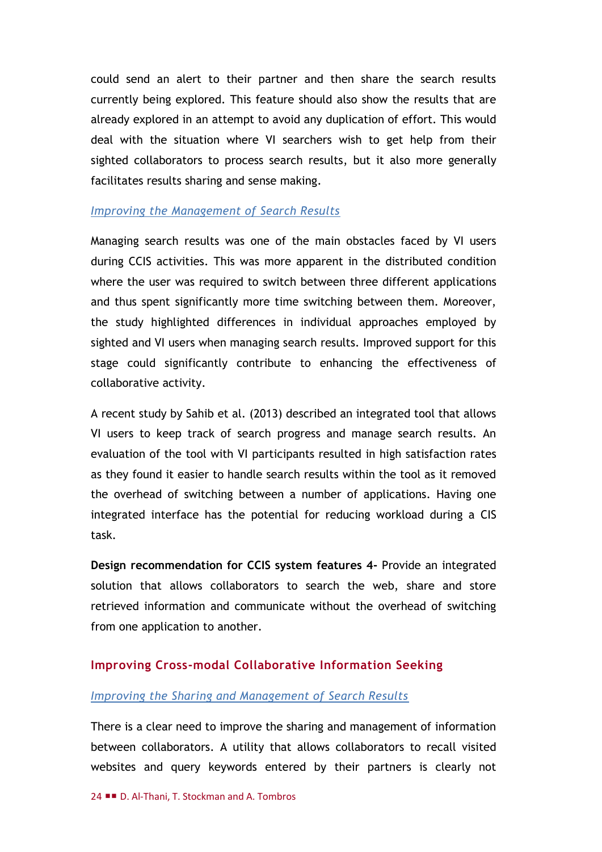could send an alert to their partner and then share the search results currently being explored. This feature should also show the results that are already explored in an attempt to avoid any duplication of effort. This would deal with the situation where VI searchers wish to get help from their sighted collaborators to process search results, but it also more generally facilitates results sharing and sense making.

#### *Improving the Management of Search Results*

Managing search results was one of the main obstacles faced by VI users during CCIS activities. This was more apparent in the distributed condition where the user was required to switch between three different applications and thus spent significantly more time switching between them. Moreover, the study highlighted differences in individual approaches employed by sighted and VI users when managing search results. Improved support for this stage could significantly contribute to enhancing the effectiveness of collaborative activity.

A recent study by Sahib et al. (2013) described an integrated tool that allows VI users to keep track of search progress and manage search results. An evaluation of the tool with VI participants resulted in high satisfaction rates as they found it easier to handle search results within the tool as it removed the overhead of switching between a number of applications. Having one integrated interface has the potential for reducing workload during a CIS task.

**Design recommendation for CCIS system features 4-** Provide an integrated solution that allows collaborators to search the web, share and store retrieved information and communicate without the overhead of switching from one application to another.

#### **Improving Cross-modal Collaborative Information Seeking**

#### *Improving the Sharing and Management of Search Results*

There is a clear need to improve the sharing and management of information between collaborators. A utility that allows collaborators to recall visited websites and query keywords entered by their partners is clearly not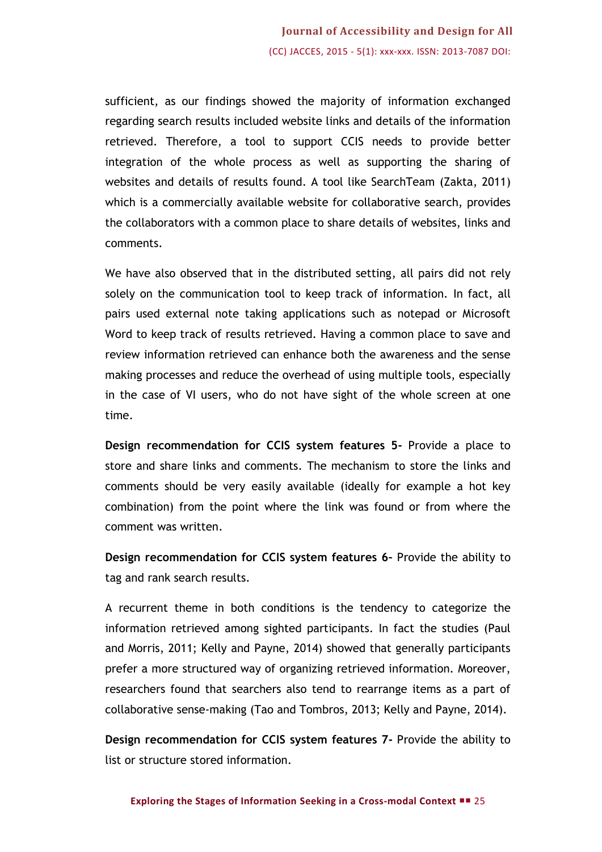sufficient, as our findings showed the majority of information exchanged regarding search results included website links and details of the information retrieved. Therefore, a tool to support CCIS needs to provide better integration of the whole process as well as supporting the sharing of websites and details of results found. A tool like SearchTeam (Zakta, 2011) which is a commercially available website for collaborative search, provides the collaborators with a common place to share details of websites, links and comments.

We have also observed that in the distributed setting, all pairs did not rely solely on the communication tool to keep track of information. In fact, all pairs used external note taking applications such as notepad or Microsoft Word to keep track of results retrieved. Having a common place to save and review information retrieved can enhance both the awareness and the sense making processes and reduce the overhead of using multiple tools, especially in the case of VI users, who do not have sight of the whole screen at one time.

**Design recommendation for CCIS system features 5-** Provide a place to store and share links and comments. The mechanism to store the links and comments should be very easily available (ideally for example a hot key combination) from the point where the link was found or from where the comment was written.

**Design recommendation for CCIS system features 6–** Provide the ability to tag and rank search results.

A recurrent theme in both conditions is the tendency to categorize the information retrieved among sighted participants. In fact the studies (Paul and Morris, 2011; Kelly and Payne, 2014) showed that generally participants prefer a more structured way of organizing retrieved information. Moreover, researchers found that searchers also tend to rearrange items as a part of collaborative sense-making (Tao and Tombros, 2013; Kelly and Payne, 2014).

**Design recommendation for CCIS system features 7-** Provide the ability to list or structure stored information.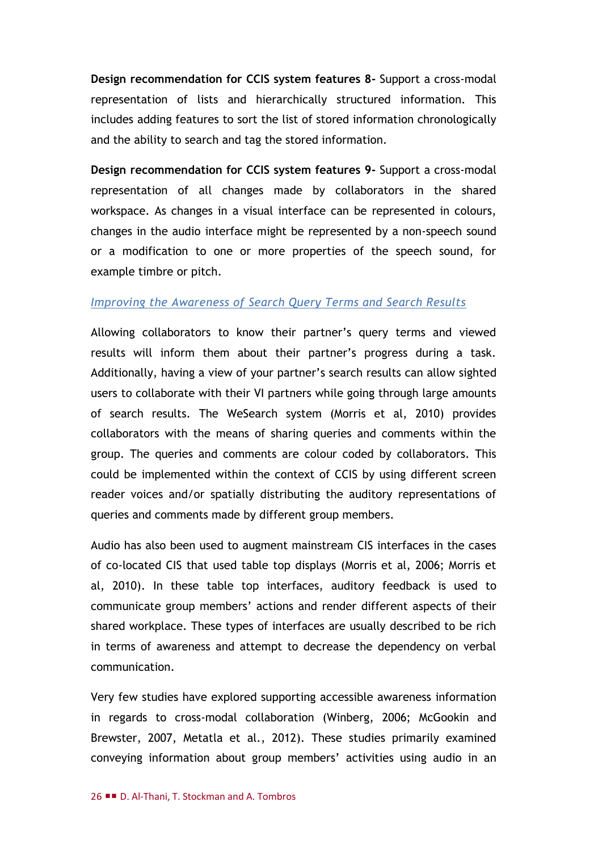**Design recommendation for CCIS system features 8-** Support a cross-modal representation of lists and hierarchically structured information. This includes adding features to sort the list of stored information chronologically and the ability to search and tag the stored information.

**Design recommendation for CCIS system features 9-** Support a cross-modal representation of all changes made by collaborators in the shared workspace. As changes in a visual interface can be represented in colours, changes in the audio interface might be represented by a non-speech sound or a modification to one or more properties of the speech sound, for example timbre or pitch.

#### *Improving the Awareness of Search Query Terms and Search Results*

Allowing collaborators to know their partner's query terms and viewed results will inform them about their partner's progress during a task. Additionally, having a view of your partner's search results can allow sighted users to collaborate with their VI partners while going through large amounts of search results. The WeSearch system (Morris et al, 2010) provides collaborators with the means of sharing queries and comments within the group. The queries and comments are colour coded by collaborators. This could be implemented within the context of CCIS by using different screen reader voices and/or spatially distributing the auditory representations of queries and comments made by different group members.

Audio has also been used to augment mainstream CIS interfaces in the cases of co-located CIS that used table top displays (Morris et al, 2006; Morris et al, 2010). In these table top interfaces, auditory feedback is used to communicate group members' actions and render different aspects of their shared workplace. These types of interfaces are usually described to be rich in terms of awareness and attempt to decrease the dependency on verbal communication.

Very few studies have explored supporting accessible awareness information in regards to cross-modal collaboration (Winberg, 2006; McGookin and Brewster, 2007, Metatla et al., 2012). These studies primarily examined conveying information about group members' activities using audio in an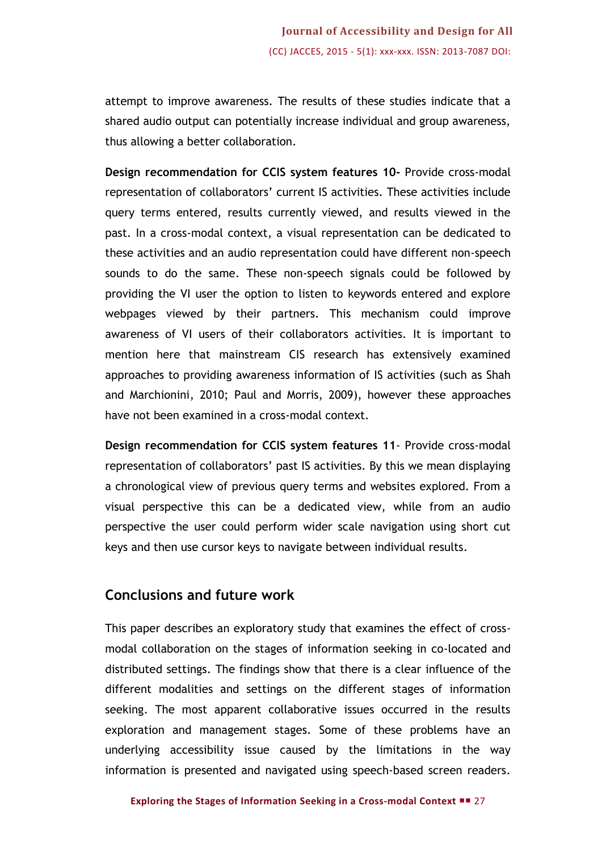attempt to improve awareness. The results of these studies indicate that a shared audio output can potentially increase individual and group awareness, thus allowing a better collaboration.

**Design recommendation for CCIS system features 10-** Provide cross-modal representation of collaborators' current IS activities. These activities include query terms entered, results currently viewed, and results viewed in the past. In a cross-modal context, a visual representation can be dedicated to these activities and an audio representation could have different non-speech sounds to do the same. These non-speech signals could be followed by providing the VI user the option to listen to keywords entered and explore webpages viewed by their partners. This mechanism could improve awareness of VI users of their collaborators activities. It is important to mention here that mainstream CIS research has extensively examined approaches to providing awareness information of IS activities (such as Shah and Marchionini, 2010; Paul and Morris, 2009), however these approaches have not been examined in a cross-modal context.

**Design recommendation for CCIS system features 11**- Provide cross-modal representation of collaborators' past IS activities. By this we mean displaying a chronological view of previous query terms and websites explored. From a visual perspective this can be a dedicated view, while from an audio perspective the user could perform wider scale navigation using short cut keys and then use cursor keys to navigate between individual results.

## **Conclusions and future work**

This paper describes an exploratory study that examines the effect of crossmodal collaboration on the stages of information seeking in co-located and distributed settings. The findings show that there is a clear influence of the different modalities and settings on the different stages of information seeking. The most apparent collaborative issues occurred in the results exploration and management stages. Some of these problems have an underlying accessibility issue caused by the limitations in the way information is presented and navigated using speech-based screen readers.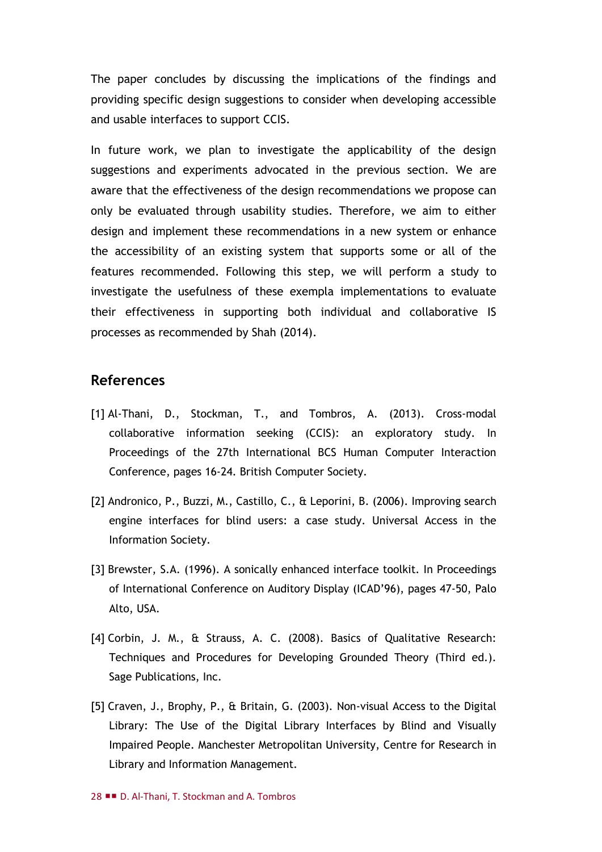The paper concludes by discussing the implications of the findings and providing specific design suggestions to consider when developing accessible and usable interfaces to support CCIS.

In future work, we plan to investigate the applicability of the design suggestions and experiments advocated in the previous section. We are aware that the effectiveness of the design recommendations we propose can only be evaluated through usability studies. Therefore, we aim to either design and implement these recommendations in a new system or enhance the accessibility of an existing system that supports some or all of the features recommended. Following this step, we will perform a study to investigate the usefulness of these exempla implementations to evaluate their effectiveness in supporting both individual and collaborative IS processes as recommended by Shah (2014).

## **References**

- [1] Al-Thani, D., Stockman, T., and Tombros, A. (2013). Cross-modal collaborative information seeking (CCIS): an exploratory study. In Proceedings of the 27th International BCS Human Computer Interaction Conference, pages 16-24. British Computer Society.
- [2] Andronico, P., Buzzi, M., Castillo, C., & Leporini, B. (2006). Improving search engine interfaces for blind users: a case study. Universal Access in the Information Society.
- [3] Brewster, S.A. (1996). A sonically enhanced interface toolkit. In Proceedings of International Conference on Auditory Display (ICAD'96), pages 47-50, Palo Alto, USA.
- [4] Corbin, J. M., & Strauss, A. C. (2008). Basics of Qualitative Research: Techniques and Procedures for Developing Grounded Theory (Third ed.). Sage Publications, Inc.
- [5] Craven, J., Brophy, P., & Britain, G. (2003). Non-visual Access to the Digital Library: The Use of the Digital Library Interfaces by Blind and Visually Impaired People. Manchester Metropolitan University, Centre for Research in Library and Information Management.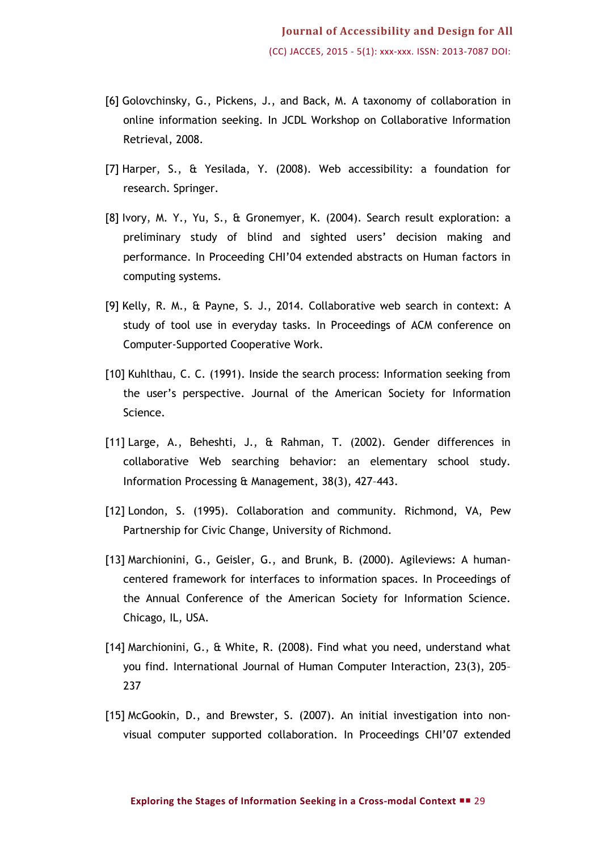- [6] Golovchinsky, G., Pickens, J., and Back, M. A taxonomy of collaboration in online information seeking. In JCDL Workshop on Collaborative Information Retrieval, 2008.
- [7] Harper, S., & Yesilada, Y. (2008). Web accessibility: a foundation for research. Springer.
- [8] Ivory, M. Y., Yu, S., & Gronemyer, K. (2004). Search result exploration: a preliminary study of blind and sighted users' decision making and performance. In Proceeding CHI'04 extended abstracts on Human factors in computing systems.
- [9] Kelly, R. M., & Payne, S. J., 2014. Collaborative web search in context: A study of tool use in everyday tasks. In Proceedings of ACM conference on Computer-Supported Cooperative Work.
- [10] Kuhlthau, C. C. (1991). Inside the search process: Information seeking from the user's perspective. Journal of the American Society for Information Science.
- [11] Large, A., Beheshti, J., & Rahman, T. (2002). Gender differences in collaborative Web searching behavior: an elementary school study. Information Processing & Management, 38(3), 427–443.
- [12] London, S. (1995). Collaboration and community. Richmond, VA, Pew Partnership for Civic Change, University of Richmond.
- [13] Marchionini, G., Geisler, G., and Brunk, B. (2000). Agileviews: A humancentered framework for interfaces to information spaces. In Proceedings of the Annual Conference of the American Society for Information Science. Chicago, IL, USA.
- [14] Marchionini, G., & White, R. (2008). Find what you need, understand what you find. International Journal of Human Computer Interaction, 23(3), 205– 237
- [15] McGookin, D., and Brewster, S. (2007). An initial investigation into nonvisual computer supported collaboration. In Proceedings CHI'07 extended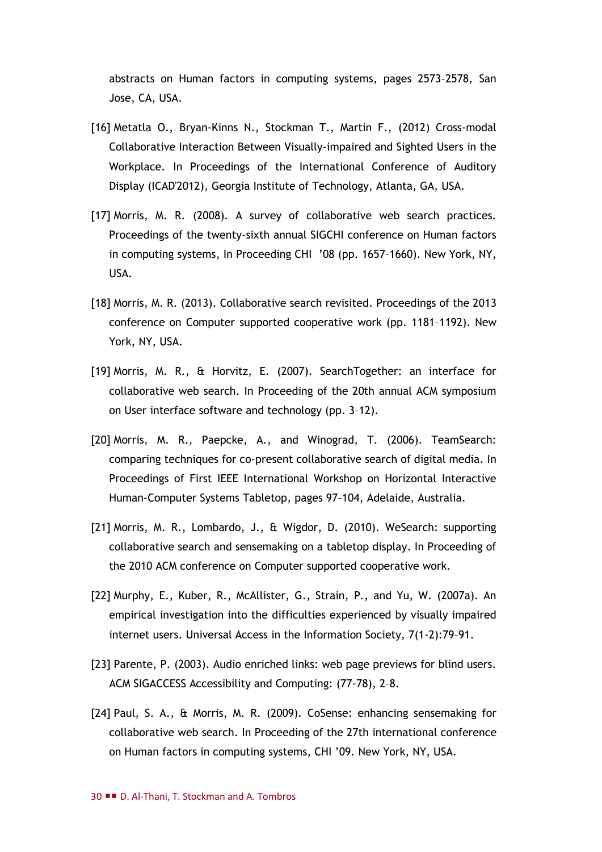abstracts on Human factors in computing systems, pages 2573–2578, San Jose, CA, USA.

- [16] Metatla O., Bryan-Kinns N., Stockman T., Martin F., (2012) Cross-modal Collaborative Interaction Between Visually-impaired and Sighted Users in the Workplace. In Proceedings of the International Conference of Auditory Display (ICAD'2012), Georgia Institute of Technology, Atlanta, GA, USA.
- [17] Morris, M. R. (2008). A survey of collaborative web search practices. Proceedings of the twenty-sixth annual SIGCHI conference on Human factors in computing systems, In Proceeding CHI '08 (pp. 1657–1660). New York, NY, USA.
- [18] Morris, M. R. (2013). Collaborative search revisited. Proceedings of the 2013 conference on Computer supported cooperative work (pp. 1181–1192). New York, NY, USA.
- [19] Morris, M. R., & Horvitz, E. (2007). SearchTogether: an interface for collaborative web search. In Proceeding of the 20th annual ACM symposium on User interface software and technology (pp. 3–12).
- [20] Morris, M. R., Paepcke, A., and Winograd, T. (2006). TeamSearch: comparing techniques for co-present collaborative search of digital media. In Proceedings of First IEEE International Workshop on Horizontal Interactive Human-Computer Systems Tabletop, pages 97–104, Adelaide, Australia.
- [21] Morris, M. R., Lombardo, J., & Wigdor, D. (2010). WeSearch: supporting collaborative search and sensemaking on a tabletop display. In Proceeding of the 2010 ACM conference on Computer supported cooperative work.
- [22] Murphy, E., Kuber, R., McAllister, G., Strain, P., and Yu, W. (2007a). An empirical investigation into the difficulties experienced by visually impaired internet users. Universal Access in the Information Society, 7(1-2):79–91.
- [23] Parente, P. (2003). Audio enriched links: web page previews for blind users. ACM SIGACCESS Accessibility and Computing: (77-78), 2–8.
- [24] Paul, S. A., & Morris, M. R. (2009). CoSense: enhancing sensemaking for collaborative web search. In Proceeding of the 27th international conference on Human factors in computing systems, CHI '09. New York, NY, USA.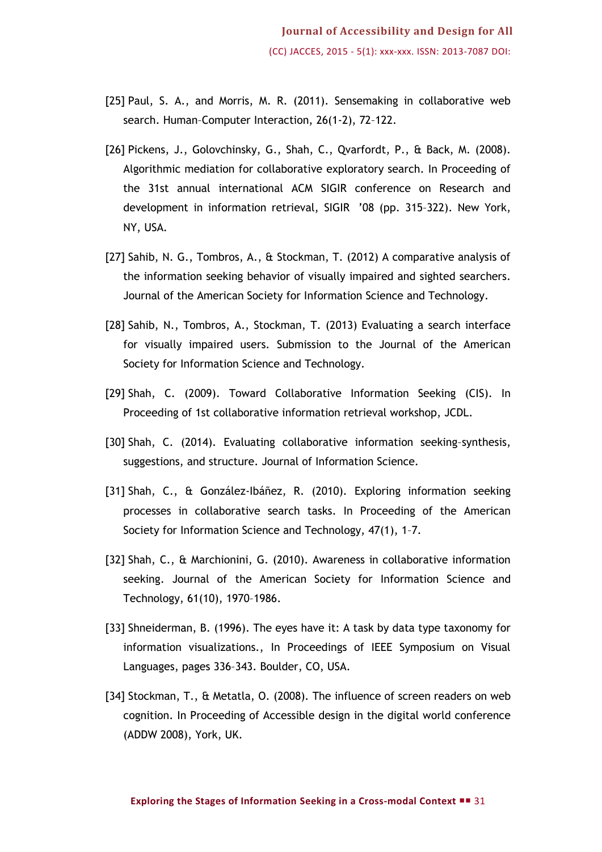- [25] Paul, S. A., and Morris, M. R. (2011). Sensemaking in collaborative web search. Human–Computer Interaction, 26(1-2), 72–122.
- [26] Pickens, J., Golovchinsky, G., Shah, C., Qvarfordt, P., & Back, M. (2008). Algorithmic mediation for collaborative exploratory search. In Proceeding of the 31st annual international ACM SIGIR conference on Research and development in information retrieval, SIGIR '08 (pp. 315–322). New York, NY, USA.
- [27] Sahib, N. G., Tombros, A., & Stockman, T. (2012) A comparative analysis of the information seeking behavior of visually impaired and sighted searchers. Journal of the American Society for Information Science and Technology.
- [28] Sahib, N., Tombros, A., Stockman, T. (2013) Evaluating a search interface for visually impaired users. Submission to the Journal of the American Society for Information Science and Technology.
- [29] Shah, C. (2009). Toward Collaborative Information Seeking (CIS). In Proceeding of 1st collaborative information retrieval workshop, JCDL.
- [30] Shah, C. (2014). Evaluating collaborative information seeking–synthesis, suggestions, and structure. Journal of Information Science.
- [31] Shah, C., & González-Ibáñez, R. (2010). Exploring information seeking processes in collaborative search tasks. In Proceeding of the American Society for Information Science and Technology, 47(1), 1–7.
- [32] Shah, C., & Marchionini, G. (2010). Awareness in collaborative information seeking. Journal of the American Society for Information Science and Technology, 61(10), 1970–1986.
- [33] Shneiderman, B. (1996). The eyes have it: A task by data type taxonomy for information visualizations., In Proceedings of IEEE Symposium on Visual Languages, pages 336–343. Boulder, CO, USA.
- [34] Stockman, T., & Metatla, O. (2008). The influence of screen readers on web cognition. In Proceeding of Accessible design in the digital world conference (ADDW 2008), York, UK.